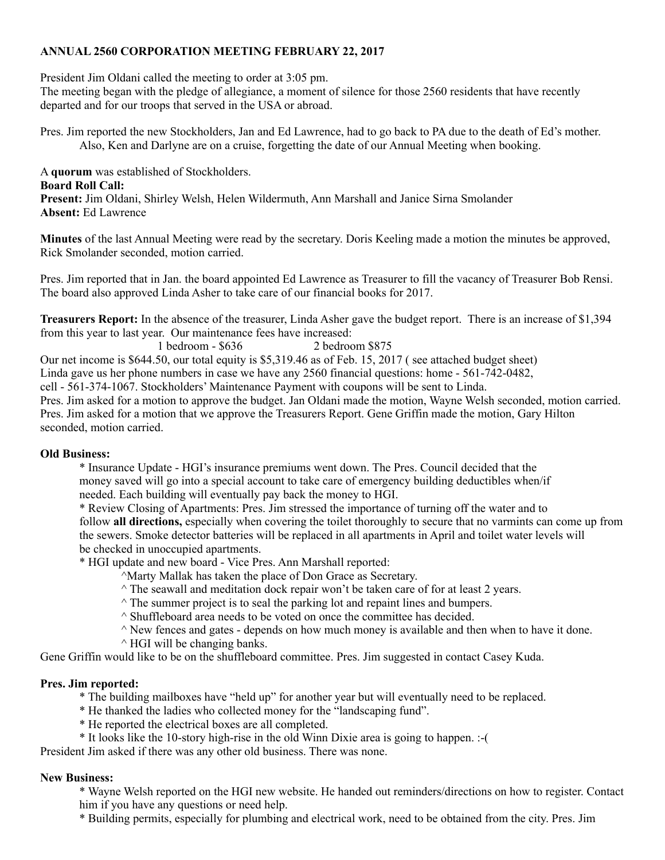## **ANNUAL 2560 CORPORATION MEETING FEBRUARY 22, 2017**

President Jim Oldani called the meeting to order at 3:05 pm.

The meeting began with the pledge of allegiance, a moment of silence for those 2560 residents that have recently departed and for our troops that served in the USA or abroad.

Pres. Jim reported the new Stockholders, Jan and Ed Lawrence, had to go back to PA due to the death of Ed's mother. Also, Ken and Darlyne are on a cruise, forgetting the date of our Annual Meeting when booking.

A **quorum** was established of Stockholders. **Board Roll Call: Present:** Jim Oldani, Shirley Welsh, Helen Wildermuth, Ann Marshall and Janice Sirna Smolander **Absent:** Ed Lawrence

**Minutes** of the last Annual Meeting were read by the secretary. Doris Keeling made a motion the minutes be approved, Rick Smolander seconded, motion carried.

Pres. Jim reported that in Jan. the board appointed Ed Lawrence as Treasurer to fill the vacancy of Treasurer Bob Rensi. The board also approved Linda Asher to take care of our financial books for 2017.

**Treasurers Report:** In the absence of the treasurer, Linda Asher gave the budget report. There is an increase of \$1,394 from this year to last year. Our maintenance fees have increased:

1 bedroom - \$636 2 bedroom \$875 Our net income is \$644.50, our total equity is \$5,319.46 as of Feb. 15, 2017 ( see attached budget sheet) Linda gave us her phone numbers in case we have any 2560 financial questions: home - 561-742-0482,

cell - 561-374-1067. Stockholders' Maintenance Payment with coupons will be sent to Linda.

Pres. Jim asked for a motion to approve the budget. Jan Oldani made the motion, Wayne Welsh seconded, motion carried. Pres. Jim asked for a motion that we approve the Treasurers Report. Gene Griffin made the motion, Gary Hilton seconded, motion carried.

## **Old Business:**

\* Insurance Update - HGI's insurance premiums went down. The Pres. Council decided that the money saved will go into a special account to take care of emergency building deductibles when/if needed. Each building will eventually pay back the money to HGI.

\* Review Closing of Apartments: Pres. Jim stressed the importance of turning off the water and to follow **all directions,** especially when covering the toilet thoroughly to secure that no varmints can come up from the sewers. Smoke detector batteries will be replaced in all apartments in April and toilet water levels will be checked in unoccupied apartments.

\* HGI update and new board - Vice Pres. Ann Marshall reported:

^Marty Mallak has taken the place of Don Grace as Secretary.

- $\wedge$  The seawall and meditation dock repair won't be taken care of for at least 2 years.
- $\land$  The summer project is to seal the parking lot and repaint lines and bumpers.
- $\land$  Shuffleboard area needs to be voted on once the committee has decided.
- $\hat{\ }$  New fences and gates depends on how much money is available and then when to have it done.
- $\wedge$  HGI will be changing banks.

Gene Griffin would like to be on the shuffleboard committee. Pres. Jim suggested in contact Casey Kuda.

## **Pres. Jim reported:**

- \* The building mailboxes have "held up" for another year but will eventually need to be replaced.
- \* He thanked the ladies who collected money for the "landscaping fund".
- \* He reported the electrical boxes are all completed.
- \* It looks like the 10-story high-rise in the old Winn Dixie area is going to happen. :-(

President Jim asked if there was any other old business. There was none.

## **New Business:**

\* Wayne Welsh reported on the HGI new website. He handed out reminders/directions on how to register. Contact him if you have any questions or need help.

\* Building permits, especially for plumbing and electrical work, need to be obtained from the city. Pres. Jim